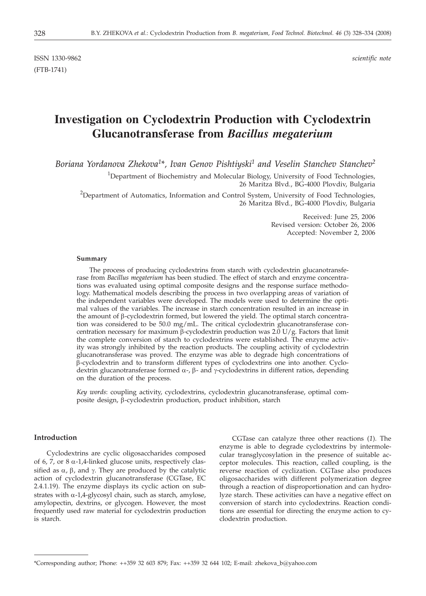ISSN 1330-9862 *scientific note* (FTB-1741)

# **Investigation on Cyclodextrin Production with Cyclodextrin Glucanotransferase from** *Bacillus megaterium*

*Boriana Yordanova Zhekova1* \**, Ivan Genov Pishtiyski1 and Veselin Stanchev Stanchev2*

<sup>1</sup>Department of Biochemistry and Molecular Biology, University of Food Technologies, 26 Maritza Blvd., BG-4000 Plovdiv, Bulgaria

<sup>2</sup>Department of Automatics, Information and Control System, University of Food Technologies, 26 Maritza Blvd., BG-4000 Plovdiv, Bulgaria

> Received: June 25, 2006 Revised version: October 26, 2006 Accepted: November 2, 2006

#### **Summary**

The process of producing cyclodextrins from starch with cyclodextrin glucanotransferase from *Bacillus megaterium* has been studied. The effect of starch and enzyme concentrations was evaluated using optimal composite designs and the response surface methodology. Mathematical models describing the process in two overlapping areas of variation of the independent variables were developed. The models were used to determine the optimal values of the variables. The increase in starch concentration resulted in an increase in the amount of  $\beta$ -cyclodextrin formed, but lowered the yield. The optimal starch concentration was considered to be 50.0 mg/mL. The critical cyclodextrin glucanotransferase concentration necessary for maximum  $\beta$ -cyclodextrin production was 2.0 U/g. Factors that limit the complete conversion of starch to cyclodextrins were established. The enzyme activity was strongly inhibited by the reaction products. The coupling activity of cyclodextrin glucanotransferase was proved. The enzyme was able to degrade high concentrations of  $\beta$ -cyclodextrin and to transform different types of cyclodextrins one into another. Cyclodextrin glucanotransferase formed  $\alpha$ -,  $\beta$ - and  $\gamma$ -cyclodextrins in different ratios, depending on the duration of the process.

*Key words*: coupling activity, cyclodextrins, cyclodextrin glucanotransferase, optimal composite design, β-cyclodextrin production, product inhibition, starch

# **Introduction**

Cyclodextrins are cyclic oligosaccharides composed of 6, 7, or  $8 \alpha$ -1,4-linked glucose units, respectively classified as  $\alpha$ ,  $\beta$ , and  $\gamma$ . They are produced by the catalytic action of cyclodextrin glucanotransferase (CGTase, EC 2.4.1.19). The enzyme displays its cyclic action on substrates with  $\alpha$ -1,4-glycosyl chain, such as starch, amylose, amylopectin, dextrins, or glycogen. However, the most frequently used raw material for cyclodextrin production is starch.

CGTase can catalyze three other reactions (*1*). The enzyme is able to degrade cyclodextrins by intermolecular transglycosylation in the presence of suitable acceptor molecules. This reaction, called coupling, is the reverse reaction of cyclization. CGTase also produces oligosaccharides with different polymerization degree through a reaction of disproportionation and can hydrolyze starch. These activities can have a negative effect on conversion of starch into cyclodextrins. Reaction conditions are essential for directing the enzyme action to cyclodextrin production.

<sup>\*</sup>Corresponding author; Phone: ++359 32 603 879; Fax: ++359 32 644 102; E-mail: zhekova\_b@yahoo.com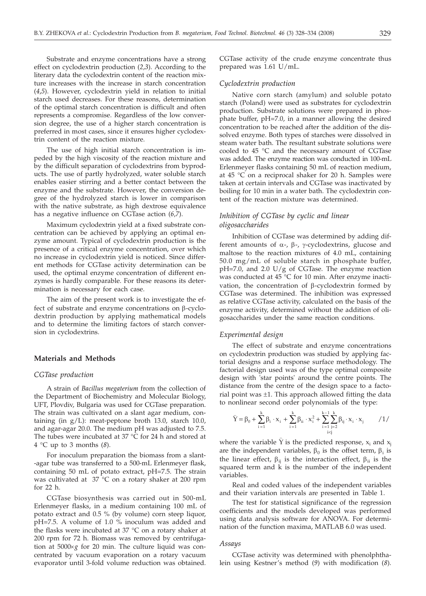Substrate and enzyme concentrations have a strong effect on cyclodextrin production (*2*,*3*). According to the literary data the cyclodextrin content of the reaction mixture increases with the increase in starch concentration (*4*,*5*). However, cyclodextrin yield in relation to initial starch used decreases. For these reasons, determination of the optimal starch concentration is difficult and often represents a compromise. Regardless of the low conversion degree, the use of a higher starch concentration is preferred in most cases, since it ensures higher cyclodextrin content of the reaction mixture.

The use of high initial starch concentration is impeded by the high viscosity of the reaction mixture and by the difficult separation of cyclodextrins from byproducts. The use of partly hydrolyzed, water soluble starch enables easier stirring and a better contact between the enzyme and the substrate. However, the conversion degree of the hydrolyzed starch is lower in comparison with the native substrate, as high dextrose equivalence has a negative influence on CGTase action (*6*,*7*).

Maximum cyclodextrin yield at a fixed substrate concentration can be achieved by applying an optimal enzyme amount. Typical of cyclodextrin production is the presence of a critical enzyme concentration, over which no increase in cyclodextrin yield is noticed. Since different methods for CGTase activity determination can be used, the optimal enzyme concentration of different enzymes is hardly comparable. For these reasons its determination is necessary for each case.

The aim of the present work is to investigate the effect of substrate and enzyme concentrations on  $\beta$ -cyclodextrin production by applying mathematical models and to determine the limiting factors of starch conversion in cyclodextrins.

## **Materials and Methods**

#### *CGTase production*

A strain of *Bacillus megaterium* from the collection of the Department of Biochemistry and Molecular Biology, UFT, Plovdiv, Bulgaria was used for CGTase preparation. The strain was cultivated on a slant agar medium, containing (in g/L): meat-peptone broth 13.0, starch 10.0, and agar-agar 20.0. The medium pH was adjusted to 7.5. The tubes were incubated at 37  $\degree$ C for 24 h and stored at 4 °C up to 3 months (*8*).

For inoculum preparation the biomass from a slant- -agar tube was transferred to a 500-mL Erlenmeyer flask, containing 50 mL of potato extract, pH=7.5. The strain was cultivated at 37 °C on a rotary shaker at 200 rpm for 22 h.

CGTase biosynthesis was carried out in 500-mL Erlenmeyer flasks, in a medium containing 100 mL of potato extract and 0.5 % (by volume) corn steep liquor, pH=7.5. A volume of 1.0 % inoculum was added and the flasks were incubated at 37 °C on a rotary shaker at 200 rpm for 72 h. Biomass was removed by centrifugation at  $5000 \times g$  for 20 min. The culture liquid was concentrated by vacuum evaporation on a rotary vacuum evaporator until 3-fold volume reduction was obtained.

CGTase activity of the crude enzyme concentrate thus prepared was 1.61 U/mL.

# *Cyclodextrin production*

Native corn starch (amylum) and soluble potato starch (Poland) were used as substrates for cyclodextrin production. Substrate solutions were prepared in phosphate buffer, pH=7.0, in a manner allowing the desired concentration to be reached after the addition of the dissolved enzyme. Both types of starches were dissolved in steam water bath. The resultant substrate solutions were cooled to 45 °C and the necessary amount of CGTase was added. The enzyme reaction was conducted in 100-mL Erlenmeyer flasks containing 50 mL of reaction medium, at  $45$  °C on a reciprocal shaker for 20 h. Samples were taken at certain intervals and CGTase was inactivated by boiling for 10 min in a water bath. The cyclodextrin content of the reaction mixture was determined.

# *Inhibition of CGTase by cyclic and linear oligosaccharides*

Inhibition of CGTase was determined by adding different amounts of  $\alpha$ -,  $\beta$ -,  $\gamma$ -cyclodextrins, glucose and maltose to the reaction mixtures of 4.0 mL, containing 50.0 mg/mL of soluble starch in phosphate buffer, pH=7.0, and 2.0 U/g of CGTase. The enzyme reaction was conducted at 45 °C for 10 min. After enzyme inactivation, the concentration of  $\beta$ -cyclodextrin formed by CGTase was determined. The inhibition was expressed as relative CGTase activity, calculated on the basis of the enzyme activity, determined without the addition of oligosaccharides under the same reaction conditions.

#### *Experimental design*

The effect of substrate and enzyme concentrations on cyclodextrin production was studied by applying factorial designs and a response surface methodology. The factorial design used was of the type optimal composite design with 'star points' around the centre points. The distance from the centre of the design space to a factorial point was  $\pm 1$ . This approach allowed fitting the data to nonlinear second order polynomials of the type:

$$
\widehat{Y}=\beta_0+\sum_{i=1}^k\beta_i\cdot x_i+\sum_{i=1}^k\beta_{ii}\cdot x_i^2+\sum_{\substack{i=1 \\ i\leq j}}^{k-1}\sum_{j=2}^k\beta_{ij}\cdot x_i\cdot x_j \qquad \ \ /1/
$$

where the variable  $\hat{Y}$  is the predicted response,  $x_i$  and  $x_j$ are the independent variables,  $\beta_0$  is the offset term,  $\beta_i$  is the linear effect,  $\beta_{ii}$  is the interaction effect,  $\beta_{ii}$  is the squared term and  $\vec{k}$  is the number of the independent variables.

Real and coded values of the independent variables and their variation intervals are presented in Table 1.

The test for statistical significance of the regression coefficients and the models developed was performed using data analysis software for ANOVA. For determination of the function maxima, MATLAB 6.0 was used.

#### *Assays*

CGTase activity was determined with phenolphthalein using Kestner's method (*9*) with modification (*8*).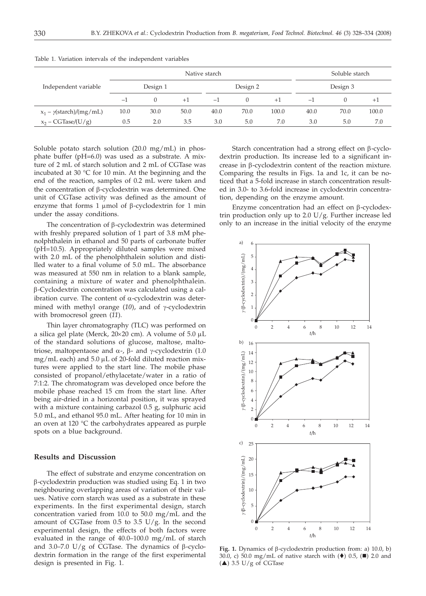|                                              | Native starch |      |      |          |        |       |          | Soluble starch |       |  |
|----------------------------------------------|---------------|------|------|----------|--------|-------|----------|----------------|-------|--|
| Independent variable                         | Design 1      |      |      | Design 2 |        |       | Design 3 |                |       |  |
|                                              | -1            |      | $+1$ | $-1$     | $\cup$ | $+1$  | $-1$     |                | $+1$  |  |
| $x_1 - \gamma(\text{starch})/(\text{mg/mL})$ | 10.0          | 30.0 | 50.0 | 40.0     | 70.0   | 100.0 | 40.0     | 70.0           | 100.0 |  |
| $x_2$ – CGTase/(U/g)                         | 0.5           | 2.0  | 3.5  | 3.0      | 5.0    | 7.0   | 3.0      | 5.0            | 7.0   |  |

Table 1. Variation intervals of the independent variables

Soluble potato starch solution (20.0 mg/mL) in phosphate buffer (pH=6.0) was used as a substrate. A mixture of 2 mL of starch solution and 2 mL of CGTase was incubated at 30 °C for 10 min. At the beginning and the end of the reaction, samples of 0.2 mL were taken and the concentration of  $\beta$ -cyclodextrin was determined. One unit of CGTase activity was defined as the amount of enzyme that forms 1  $\mu$ mol of  $\beta$ -cyclodextrin for 1 min under the assay conditions.

The concentration of  $\beta$ -cyclodextrin was determined with freshly prepared solution of 1 part of 3.8 mM phenolphthalein in ethanol and 50 parts of carbonate buffer (pH=10.5). Appropriately diluted samples were mixed with 2.0 mL of the phenolphthalein solution and distilled water to a final volume of 5.0 mL. The absorbance was measured at 550 nm in relation to a blank sample, containing a mixture of water and phenolphthalein. b-Cyclodextrin concentration was calculated using a calibration curve. The content of  $\alpha$ -cyclodextrin was determined with methyl orange  $(10)$ , and of  $\gamma$ -cyclodextrin with bromocresol green (*11*).

Thin layer chromatography (TLC) was performed on a silica gel plate (Merck,  $20 \times 20$  cm). A volume of  $5.0 \mu L$ of the standard solutions of glucose, maltose, maltotriose, maltopentaose and  $\alpha$ -,  $\beta$ - and  $\gamma$ -cyclodextrin (1.0  $mg/mL$  each) and  $5.0 \mu L$  of 20-fold diluted reaction mixtures were applied to the start line. The mobile phase consisted of propanol/ethylacetate/water in a ratio of 7:1:2. The chromatogram was developed once before the mobile phase reached 15 cm from the start line. After being air-dried in a horizontal position, it was sprayed with a mixture containing carbazol 0.5 g, sulphuric acid 5.0 mL, and ethanol 95.0 mL. After heating for 10 min in an oven at 120 °C the carbohydrates appeared as purple spots on a blue background.

## **Results and Discussion**

The effect of substrate and enzyme concentration on b-cyclodextrin production was studied using Eq. 1 in two neighbouring overlapping areas of variation of their values. Native corn starch was used as a substrate in these experiments. In the first experimental design, starch concentration varied from 10.0 to 50.0 mg/mL and the amount of CGTase from 0.5 to 3.5  $U/g$ . In the second experimental design, the effects of both factors were evaluated in the range of 40.0–100.0 mg/mL of starch and 3.0–7.0 U/g of CGTase. The dynamics of  $\beta$ -cyclodextrin formation in the range of the first experimental design is presented in Fig. 1.

Starch concentration had a strong effect on  $\beta$ -cyclodextrin production. Its increase led to a significant increase in  $\beta$ -cyclodextrin content of the reaction mixture. Comparing the results in Figs. 1a and 1c, it can be noticed that a 5-fold increase in starch concentration resulted in 3.0- to 3.6-fold increase in cyclodextrin concentration, depending on the enzyme amount.

Enzyme concentration had an effect on  $\beta$ -cyclodextrin production only up to 2.0 U/g. Further increase led only to an increase in the initial velocity of the enzyme



**Fig. 1.** Dynamics of b-cyclodextrin production from: a) 10.0, b) 30.0, c) 50.0 mg/mL of native starch with  $(\blacklozenge)$  0.5,  $(\blacksquare)$  2.0 and  $(\triangle)$  3.5 U/g of CGTase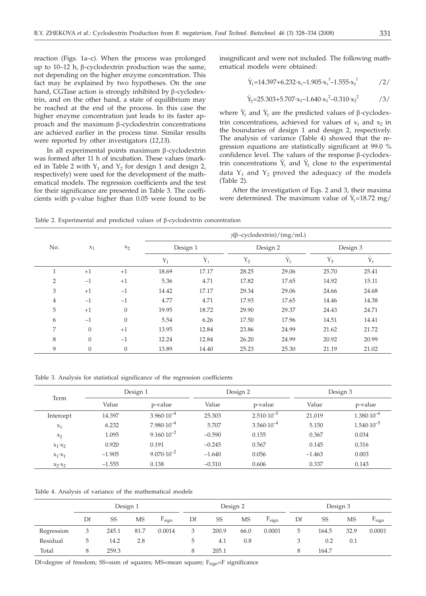reaction (Figs. 1a–c). When the process was prolonged up to  $10-12$  h,  $\beta$ -cyclodextrin production was the same, not depending on the higher enzyme concentration. This fact may be explained by two hypotheses. On the one hand, CGTase action is strongly inhibited by  $\beta$ -cyclodextrin, and on the other hand, a state of equilibrium may be reached at the end of the process. In this case the higher enzyme concentration just leads to its faster approach and the maximum  $\beta$ -cyclodextrin concentrations are achieved earlier in the process time. Similar results were reported by other investigators (*12*,*13*).

In all experimental points maximum  $\beta$ -cyclodextrin was formed after 11 h of incubation. These values (marked in Table 2 with  $Y_1$  and  $Y_2$  for design 1 and design 2, respectively) were used for the development of the mathematical models. The regression coefficients and the test for their significance are presented in Table 3. The coefficients with p-value higher than 0.05 were found to be insignificant and were not included. The following mathematical models were obtained:

$$
\hat{Y}_1 = 14.397 + 6.232 \cdot x_1 - 1.905 \cdot x_1^2 - 1.555 \cdot x_2^2 \qquad \qquad /2/
$$

$$
\hat{Y}_2 = 25.303 + 5.707 \cdot x_1 - 1.640 \cdot x_1^2 - 0.310 \cdot x_2^2 \tag{3/}
$$

where  $\hat{Y}_1$  and  $\hat{Y}_2$  are the predicted values of  $\beta$ -cyclodextrin concentrations, achieved for values of  $x_1$  and  $x_2$  in the boundaries of design 1 and design 2, respectively. The analysis of variance (Table 4) showed that the regression equations are statistically significant at 99.0 % confidence level. The values of the response  $\beta$ -cyclodexconfidence level. The values of the response  $\beta$ -cyclodextrin concentrations  $\hat{Y}_1$  and  $\hat{Y}_2$  close to the experimental data  $Y_1$  and  $Y_2$  proved the adequacy of the models (Table 2).

After the investigation of Eqs. 2 and 3, their maxima After the investigation of Eqs. 2 and 3, their maxima<br>were determined. The maximum value of  $\hat{Y}_1$ =18.72 mg/

Table 2. Experimental and predicted values of  $\beta$ -cyclodextrin concentration

|                |                |              | $\gamma(\beta$ -cyclodextrin)/(mg/mL) |             |             |                          |          |                      |  |  |  |
|----------------|----------------|--------------|---------------------------------------|-------------|-------------|--------------------------|----------|----------------------|--|--|--|
| No.            | $x_1$          | $x_2$        |                                       | Design 1    |             | Design 2                 | Design 3 |                      |  |  |  |
|                |                |              | $Y_1$                                 | $\hat{Y}_1$ | ${\rm Y}_2$ | $\widehat{\mathbf{Y}}_2$ | $Y_3$    | $\hat{\mathbf{Y}}_3$ |  |  |  |
| 1              | $+1$           | $+1$         | 18.69                                 | 17.17       | 28.25       | 29.06                    | 25.70    | 25.41                |  |  |  |
| $\overline{2}$ | $-1$           | $+1$         | 5.36                                  | 4.71        | 17.82       | 17.65                    | 14.92    | 15.11                |  |  |  |
| 3              | $+1$           | $-1$         | 14.42                                 | 17.17       | 29.34       | 29.06                    | 24.66    | 24.68                |  |  |  |
| 4              | $-1$           | $-1$         | 4.77                                  | 4.71        | 17.93       | 17.65                    | 14.46    | 14.38                |  |  |  |
| 5              | $+1$           | $\theta$     | 19.95                                 | 18.72       | 29.90       | 29.37                    | 24.43    | 24.71                |  |  |  |
| 6              | $-1$           | $\theta$     | 5.54                                  | 6.26        | 17.50       | 17.96                    | 14.51    | 14.41                |  |  |  |
| 7              | $\theta$       | $+1$         | 13.95                                 | 12.84       | 23.86       | 24.99                    | 21.62    | 21.72                |  |  |  |
| 8              | $\overline{0}$ | $-1$         | 12.24                                 | 12.84       | 26.20       | 24.99                    | 20.92    | 20.99                |  |  |  |
| 9              | $\mathbf{0}$   | $\mathbf{0}$ | 13.89                                 | 14.40       | 25.23       | 25.30                    | 21.19    | 21.02                |  |  |  |

Table 3. Analysis for statistical significance of the regression coefficients

| Term            |          | Design 1              |          | Design 2              | Design 3 |                       |  |
|-----------------|----------|-----------------------|----------|-----------------------|----------|-----------------------|--|
|                 | Value    | p-value               | Value    | p-value               | Value    | p-value               |  |
| Intercept       | 14.397   | $3.960 \cdot 10^{-4}$ | 25.303   | $2.510 \cdot 10^{-5}$ | 21.019   | $1.380 \cdot 10^{-6}$ |  |
| $x_1$           | 6.232    | $7.980 \cdot 10^{-4}$ | 5.707    | $3.560 \cdot 10^{-4}$ | 5.150    | $1.540 \cdot 10^{-5}$ |  |
| $x_2$           | 1.095    | $9.160 \cdot 10^{-2}$ | $-0.590$ | 0.155                 | 0.367    | 0.034                 |  |
| $x_1 \cdot x_2$ | 0.920    | 0.191                 | $-0.245$ | 0.567                 | 0.145    | 0.316                 |  |
| $X_1 \cdot X_1$ | $-1.905$ | $9.070 \cdot 10^{-2}$ | $-1.640$ | 0.056                 | $-1.463$ | 0.003                 |  |
| $X_2 \cdot X_2$ | $-1.555$ | 0.138                 | $-0.310$ | 0.606                 | 0.337    | 0.143                 |  |

Table 4. Analysis of variance of the mathematical models

|            | Design 1 |       |      | Design 2   |             |       |      | Design 3   |    |       |      |            |
|------------|----------|-------|------|------------|-------------|-------|------|------------|----|-------|------|------------|
|            | Df       | SS    | MS   | $F_{sign}$ | Df          | SS    | MS   | $F_{sign}$ | Df | SS    | MS   | $F_{sign}$ |
| Regression |          | 245.1 | 81.7 | 0.0014     | 3           | 200.9 | 66.0 | 0.0001     | 5  | 164.5 | 32.9 | 0.0001     |
| Residual   | ь        | 14.2  | 2.8  |            | $5^{\circ}$ | 4.1   | 0.8  |            |    | 0.2   | 0.1  |            |
| Total      | 8        | 259.3 |      |            |             | 205.1 |      |            | 8  | 164.7 |      |            |

Df=degree of freedom; SS=sum of squares; MS=mean square; F<sub>sign</sub>=F significance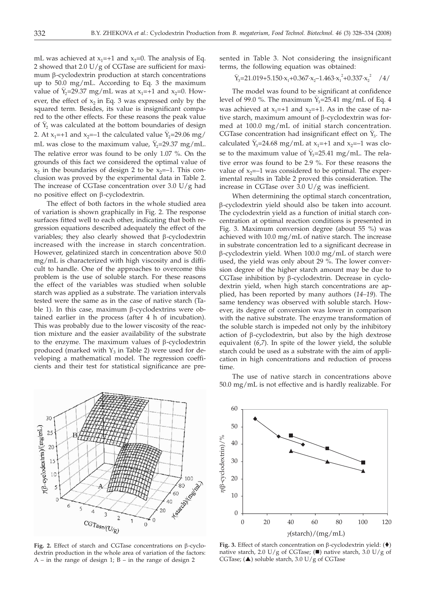mL was achieved at  $x_1$ =+1 and  $x_2$ =0. The analysis of Eq. 2 showed that 2.0 U/g of CGTase are sufficient for maximum  $\beta$ -cyclodextrin production at starch concentrations up to 50.0 mg/mL. According to Eq. 3 the maximum up to 50.0 mg/mL. According to Eq. 3 the maximum<br>value of  $\hat{Y}_2$ =29.37 mg/mL was at x<sub>1</sub>=+1 and x<sub>2</sub>=0. However, the effect of  $x_2$  in Eq. 3 was expressed only by the squared term. Besides, its value is insignificant compared to the other effects. For these reasons the peak value red to the other effects. For these reasons the peak value<br>of  $\hat{Y}_2$  was calculated at the bottom boundaries of design or  $r_2$  was calculated at the bottom boundaries of design<br>2. At  $x_1$ =+1 and  $x_2$ =-1 the calculated value  $\hat{Y}_2$ =29.06 mg/ 2. At  $x_1$ =+1 and  $x_2$ =-1 the calculated value  $x_2$ =29.06 mg/<br>mL was close to the maximum value,  $\hat{Y}_2$ =29.37 mg/mL. The relative error was found to be only 1.07 %. On the grounds of this fact we considered the optimal value of  $x_2$  in the boundaries of design 2 to be  $x_2=-1$ . This conclusion was proved by the experimental data in Table 2. The increase of CGTase concentration over 3.0  $U/g$  had no positive effect on  $\beta$ -cyclodextrin.

The effect of both factors in the whole studied area of variation is shown graphically in Fig. 2. The response surfaces fitted well to each other, indicating that both regression equations described adequately the effect of the variables; they also clearly showed that  $\beta$ -cyclodextrin increased with the increase in starch concentration. However, gelatinized starch in concentration above 50.0 mg/mL is characterized with high viscosity and is difficult to handle. One of the approaches to overcome this problem is the use of soluble starch. For these reasons the effect of the variables was studied when soluble starch was applied as a substrate. The variation intervals tested were the same as in the case of native starch (Table 1). In this case, maximum  $\beta$ -cyclodextrins were obtained earlier in the process (after 4 h of incubation). This was probably due to the lower viscosity of the reaction mixture and the easier availability of the substrate to the enzyme. The maximum values of  $\beta$ -cyclodextrin produced (marked with  $Y_3$  in Table 2) were used for developing a mathematical model. The regression coefficients and their test for statistical significance are pre-



**Fig. 2.** Effect of starch and CGTase concentrations on β-cyclodextrin production in the whole area of variation of the factors:  $A$  – in the range of design 1;  $B$  – in the range of design 2

The use of native starch in concentrations above 50.0 mg/mL is not effective and is hardly realizable. For

Fig. 3. Effect of starch concentration on  $\beta$ -cyclodextrin yield:  $($ <sup>\*</sup>) native starch, 2.0 U/g of CGTase; ( $\blacksquare$ ) native starch, 3.0 U/g of CGTase;  $(\triangle)$  soluble starch, 3.0 U/g of CGTase



terms, the following equation was obtained:  
\n
$$
\hat{Y}_3 = 21.019 + 5.150 \cdot x_1 + 0.367 \cdot x_2 - 1.463 \cdot x_1^2 + 0.337 \cdot x_2^2
$$
 /4/

sented in Table 3. Not considering the insignificant

The model was found to be significant at confidence The model was found to be significant at confidence<br>level of 99.0 %. The maximum  $\hat{Y}_3$ =25.41 mg/mL of Eq. 4 was achieved at  $x_1=+1$  and  $x_2=+1$ . As in the case of native starch, maximum amount of  $\beta$ -cyclodextrin was formed at 100.0 mg/mL of initial starch concentration. med at 100.0 mg/mL of initial starch concentration.<br>CGTase concentration had insignificant effect on  $\hat{Y}_3$ . The CG rase concentration had insignmeant effect on  $r_3$ . The calculated  $\hat{Y}_3$ =24.68 mg/mL at  $x_1$ =+1 and  $x_2$ =-1 was clocalculated  $r_3$ =24.66 mg/mL at  $x_1$ =+1 and  $x_2$ =-1 was close to the maximum value of  $\hat{Y}_3$ =25.41 mg/mL. The relative error was found to be 2.9 %. For these reasons the value of  $x_2=-1$  was considered to be optimal. The experimental results in Table 2 proved this consideration. The increase in CGTase over 3.0 U/g was inefficient.

When determining the optimal starch concentration, b-cyclodextrin yield should also be taken into account. The cyclodextrin yield as a function of initial starch concentration at optimal reaction conditions is presented in Fig. 3. Maximum conversion degree (about 55 %) was achieved with 10.0 mg/mL of native starch. The increase in substrate concentration led to a significant decrease in b-cyclodextrin yield. When 100.0 mg/mL of starch were used, the yield was only about 29 %. The lower conversion degree of the higher starch amount may be due to CGTase inhibition by  $\beta$ -cyclodextrin. Decrease in cyclodextrin yield, when high starch concentrations are applied, has been reported by many authors (*14–19*). The same tendency was observed with soluble starch. However, its degree of conversion was lower in comparison with the native substrate. The enzyme transformation of the soluble starch is impeded not only by the inhibitory action of  $\beta$ -cyclodextrin, but also by the high dextrose equivalent (*6*,*7*). In spite of the lower yield, the soluble starch could be used as a substrate with the aim of application in high concentrations and reduction of process time.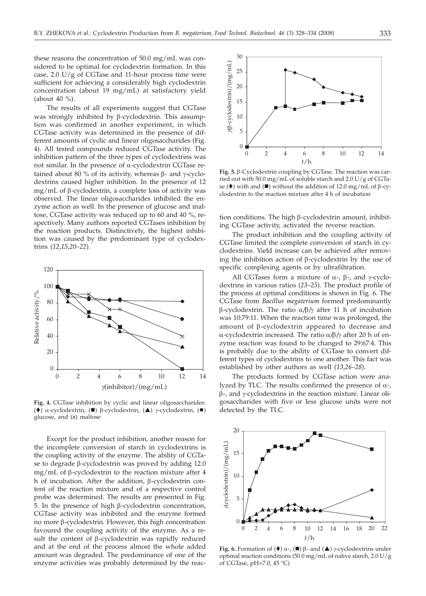these reasons the concentration of 50.0 mg/mL was considered to be optimal for cyclodextrin formation. In this case,  $2.0 \text{ U/g}$  of CGTase and 11-hour process time were sufficient for achieving a considerably high cyclodextrin concentration (about 19 mg/mL) at satisfactory yield (about 40 %).

The results of all experiments suggest that CGTase was strongly inhibited by β-cyclodextrin. This assumption was confirmed in another experiment, in which CGTase activity was determined in the presence of different amounts of cyclic and linear oligosaccharides (Fig. 4). All tested compounds reduced CGTase activity. The inhibition pattern of the three types of cyclodextrins was not similar. In the presence of  $\alpha$ -cyclodextrin CGTase retained about 80 % of its activity, whereas  $\beta$ - and  $\gamma$ -cyclodextrins caused higher inhibition. In the presence of 12 mg/mL of  $\beta$ -cyclodextrin, a complete loss of activity was observed. The linear oligosaccharides inhibited the enzyme action as well. In the presence of glucose and maltose, CGTase activity was reduced up to 60 and 40 %, respectively. Many authors reported CGTases inhibition by the reaction products. Distinctively, the highest inhibition was caused by the predominant type of cyclodextrins (*12*,*15*,*20–22*).



**Fig. 4.** CGTase inhibition by cyclic and linear oligosaccharides: ( $\overline{\bullet}$ ) α-cyclodextrin, ( $\blacksquare$ ) β-cyclodextrin, ( $\blacktriangle$ ) γ-cyclodextrin, ( $\bullet$ ) glucose, and (x) maltose

Except for the product inhibition, another reason for the incomplete conversion of starch in cyclodextrins is the coupling activity of the enzyme. The ability of CGTase to degrade  $\beta$ -cyclodextrin was proved by adding 12.0 mg/mL of  $\beta$ -cyclodextrin to the reaction mixture after 4 h of incubation. After the addition,  $\beta$ -cyclodextrin content of the reaction mixture and of a respective control probe was determined. The results are presented in Fig. 5. In the presence of high b-cyclodextrin concentration, CGTase activity was inhibited and the enzyme formed no more b-cyclodextrin. However, this high concentration favoured the coupling activity of the enzyme. As a result the content of  $\beta$ -cyclodextrin was rapidly reduced and at the end of the process almost the whole added amount was degraded. The predominance of one of the enzyme activities was probably determined by the reac-



**Fig. 5.** b-Cyclodextrin coupling by CGTase. The reaction was carried out with 50.0 mg/mL of soluble starch and 2.0 U/g of CGTase ( $\blacklozenge$ ) with and ( $\blacksquare$ ) without the addition of 12.0 mg/mL of  $\beta$ -cyclodextrin to the reaction mixture after 4 h of incubation

tion conditions. The high  $\beta$ -cyclodextrin amount, inhibiting CGTase activity, activated the reverse reaction.

The product inhibition and the coupling activity of CGTase limited the complete conversion of starch in cyclodextrins. Yield increase can be achieved after removing the inhibition action of  $\beta$ -cyclodextrin by the use of specific complexing agents or by ultrafiltration.

All CGTases form a mixture of  $\alpha$ -,  $\beta$ -, and  $\gamma$ -cyclodextrins in various ratios (*23*–*25*). The product profile of the process at optimal conditions is shown in Fig. 6. The CGTase from *Bacillus megaterium* formed predominantly  $\beta$ -cyclodextrin. The ratio  $\alpha/\beta/\gamma$  after 11 h of incubation was 10:79:11. When the reaction time was prolonged, the amount of  $\beta$ -cyclodextrin appeared to decrease and a-cyclodextrin increased. The ratio a*/*b*/*g after 20 h of enzyme reaction was found to be changed to 29:67:4. This is probably due to the ability of CGTase to convert different types of cyclodextrins to one another. This fact was established by other authors as well (*13*,*26*–*28*).

The products formed by CGTase action were analyzed by TLC. The results confirmed the presence of  $\alpha$ -,  $\beta$ -, and  $\gamma$ -cyclodextrins in the reaction mixture. Linear oligosaccharides with five or less glucose units were not detected by the TLC.



**Fig. 6.** Formation of  $(\triangle)$   $\alpha$ -,  $(\square)$   $\beta$ - and  $(\triangle)$   $\gamma$ -cyclodextrins under optimal reaction conditions (50.0 mg/mL of native starch, 2.0 U/g of CGTase, pH=7.0, 45 °C)